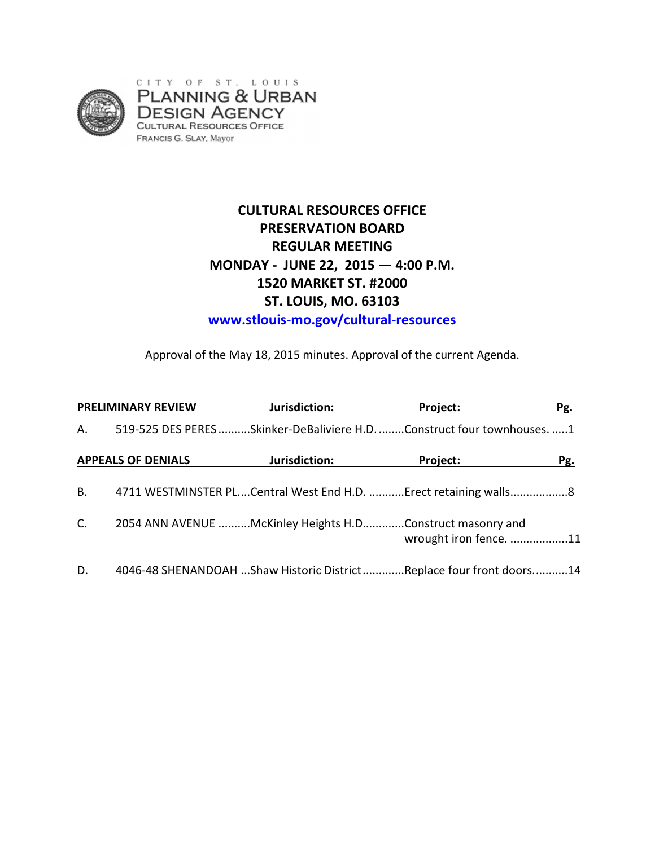

# **CULTURAL RESOURCES OFFICE PRESERVATION BOARD REGULAR MEETING MONDAY - JUNE 22, 2015 — 4:00 P.M. 1520 MARKET ST. #2000 ST. LOUIS, MO. 63103 www.stlouis-mo.gov/cultural-resources**

Approval of the May 18, 2015 minutes. Approval of the current Agenda.

| <b>PRELIMINARY REVIEW</b> |                           | Jurisdiction:                                                           | Project:               | Pg. |
|---------------------------|---------------------------|-------------------------------------------------------------------------|------------------------|-----|
| А.                        |                           | 519-525 DES PERES Skinker-DeBaliviere H.D. Construct four townhouses. 1 |                        |     |
|                           | <b>APPEALS OF DENIALS</b> | Jurisdiction:                                                           | <b>Project:</b>        | Pg. |
| <b>B.</b>                 |                           | 4711 WESTMINSTER PLCentral West End H.D. Erect retaining walls8         |                        |     |
| C <sub>1</sub>            |                           | 2054 ANN AVENUE McKinley Heights H.DConstruct masonry and               | wrought iron fence. 11 |     |
| D.                        |                           | 4046-48 SHENANDOAH Shaw Historic DistrictReplace four front doors14     |                        |     |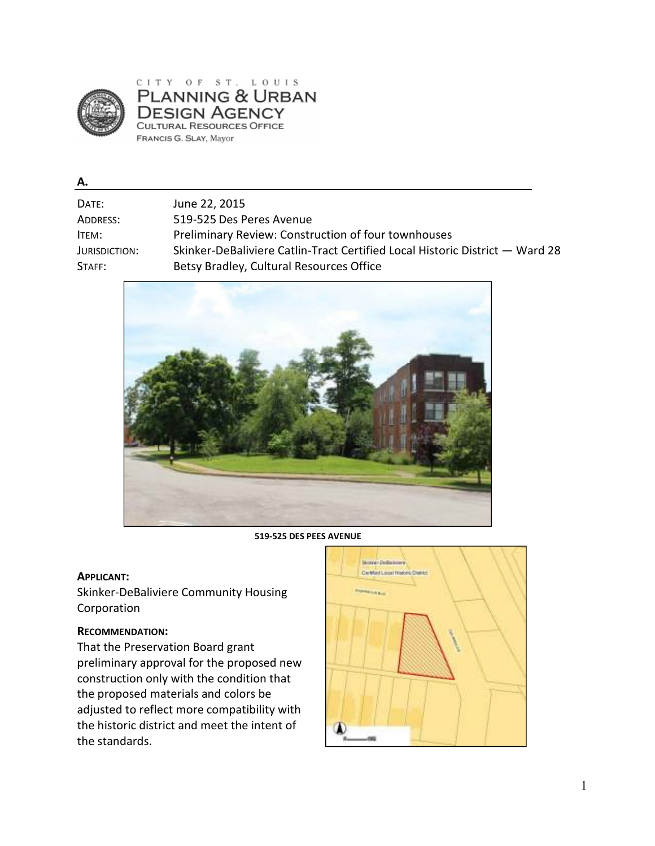

CITY OF ST. LOUIS **PLANNING & URBAN DESIGN AGENCY** CULTURAL RESOURCES OFFICE FRANCIS G. SLAY, Mayor

#### **A.**

| DATE:         | June 22, 2015                                                                |
|---------------|------------------------------------------------------------------------------|
| ADDRESS:      | 519-525 Des Peres Avenue                                                     |
| ITEM:         | <b>Preliminary Review: Construction of four townhouses</b>                   |
| JURISDICTION: | Skinker-DeBaliviere Catlin-Tract Certified Local Historic District - Ward 28 |
| STAFF:        | Betsy Bradley, Cultural Resources Office                                     |



**519-525 DES PEES AVENUE** 

#### **APPLICANT:**

Skinker-DeBaliviere Community Housing Corporation

#### **RECOMMENDATION:**

That the Preservation Board grant preliminary approval for the proposed new construction only with the condition that the proposed materials and colors be adjusted to reflect more compatibility with the historic district and meet the intent of the standards.

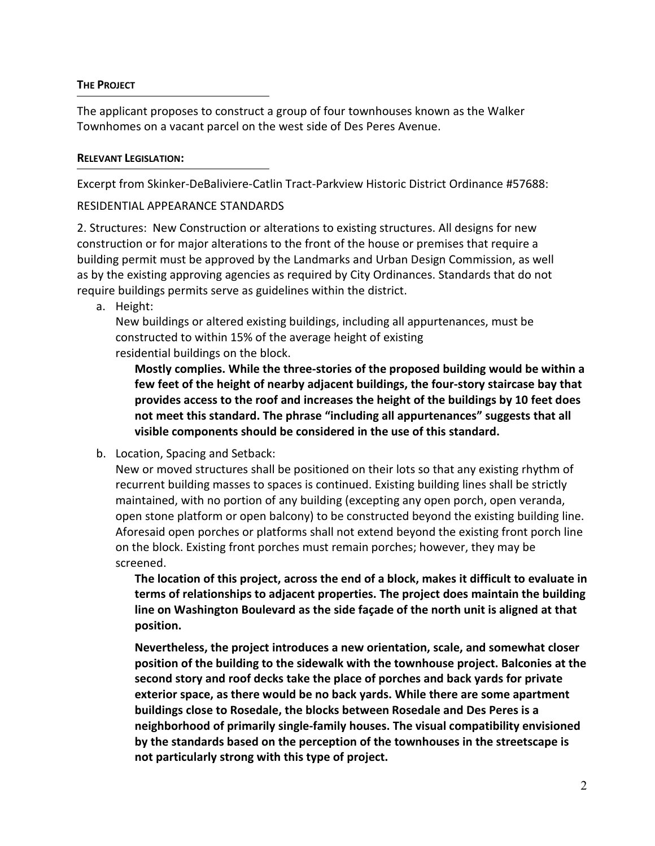### **THE PROJECT**

The applicant proposes to construct a group of four townhouses known as the Walker Townhomes on a vacant parcel on the west side of Des Peres Avenue.

## **RELEVANT LEGISLATION:**

Excerpt from Skinker-DeBaliviere-Catlin Tract-Parkview Historic District Ordinance #57688:

# RESIDENTIAL APPEARANCE STANDARDS

2. Structures: New Construction or alterations to existing structures. All designs for new construction or for major alterations to the front of the house or premises that require a building permit must be approved by the Landmarks and Urban Design Commission, as well as by the existing approving agencies as required by City Ordinances. Standards that do not require buildings permits serve as guidelines within the district.

a. Height:

New buildings or altered existing buildings, including all appurtenances, must be constructed to within 15% of the average height of existing residential buildings on the block.

**Mostly complies. While the three-stories of the proposed building would be within a few feet of the height of nearby adjacent buildings, the four-story staircase bay that provides access to the roof and increases the height of the buildings by 10 feet does not meet this standard. The phrase "including all appurtenances" suggests that all visible components should be considered in the use of this standard.** 

b. Location, Spacing and Setback:

New or moved structures shall be positioned on their lots so that any existing rhythm of recurrent building masses to spaces is continued. Existing building lines shall be strictly maintained, with no portion of any building (excepting any open porch, open veranda, open stone platform or open balcony) to be constructed beyond the existing building line. Aforesaid open porches or platforms shall not extend beyond the existing front porch line on the block. Existing front porches must remain porches; however, they may be screened.

**The location of this project, across the end of a block, makes it difficult to evaluate in terms of relationships to adjacent properties. The project does maintain the building line on Washington Boulevard as the side façade of the north unit is aligned at that position.** 

**Nevertheless, the project introduces a new orientation, scale, and somewhat closer position of the building to the sidewalk with the townhouse project. Balconies at the second story and roof decks take the place of porches and back yards for private exterior space, as there would be no back yards. While there are some apartment buildings close to Rosedale, the blocks between Rosedale and Des Peres is a neighborhood of primarily single-family houses. The visual compatibility envisioned by the standards based on the perception of the townhouses in the streetscape is not particularly strong with this type of project.**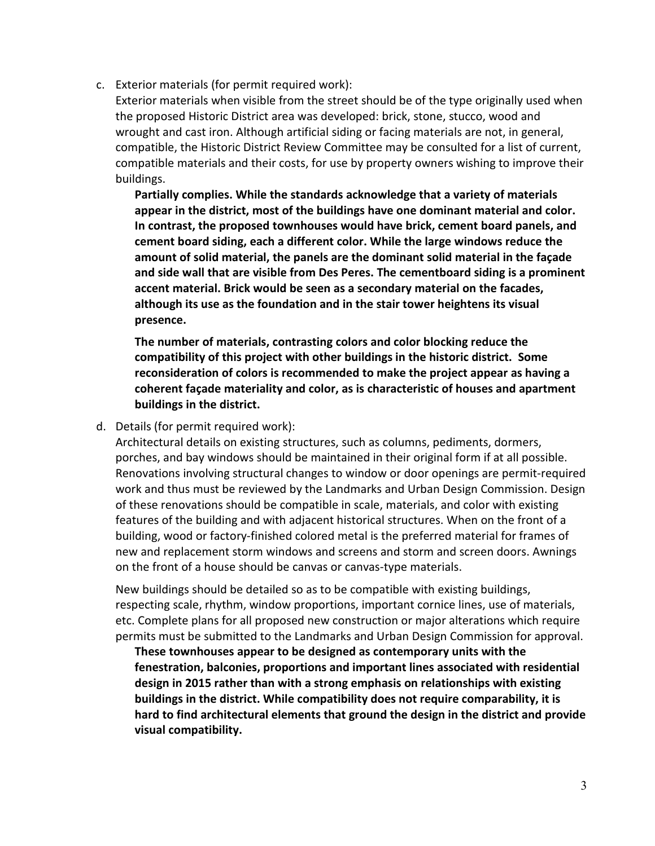c. Exterior materials (for permit required work):

Exterior materials when visible from the street should be of the type originally used when the proposed Historic District area was developed: brick, stone, stucco, wood and wrought and cast iron. Although artificial siding or facing materials are not, in general, compatible, the Historic District Review Committee may be consulted for a list of current, compatible materials and their costs, for use by property owners wishing to improve their buildings.

**Partially complies. While the standards acknowledge that a variety of materials appear in the district, most of the buildings have one dominant material and color. In contrast, the proposed townhouses would have brick, cement board panels, and cement board siding, each a different color. While the large windows reduce the amount of solid material, the panels are the dominant solid material in the façade and side wall that are visible from Des Peres. The cementboard siding is a prominent accent material. Brick would be seen as a secondary material on the facades, although its use as the foundation and in the stair tower heightens its visual presence.** 

**The number of materials, contrasting colors and color blocking reduce the compatibility of this project with other buildings in the historic district. Some reconsideration of colors is recommended to make the project appear as having a coherent façade materiality and color, as is characteristic of houses and apartment buildings in the district.** 

d. Details (for permit required work):

Architectural details on existing structures, such as columns, pediments, dormers, porches, and bay windows should be maintained in their original form if at all possible. Renovations involving structural changes to window or door openings are permit-required work and thus must be reviewed by the Landmarks and Urban Design Commission. Design of these renovations should be compatible in scale, materials, and color with existing features of the building and with adjacent historical structures. When on the front of a building, wood or factory-finished colored metal is the preferred material for frames of new and replacement storm windows and screens and storm and screen doors. Awnings on the front of a house should be canvas or canvas-type materials.

New buildings should be detailed so as to be compatible with existing buildings, respecting scale, rhythm, window proportions, important cornice lines, use of materials, etc. Complete plans for all proposed new construction or major alterations which require permits must be submitted to the Landmarks and Urban Design Commission for approval.

**These townhouses appear to be designed as contemporary units with the fenestration, balconies, proportions and important lines associated with residential design in 2015 rather than with a strong emphasis on relationships with existing buildings in the district. While compatibility does not require comparability, it is hard to find architectural elements that ground the design in the district and provide visual compatibility.**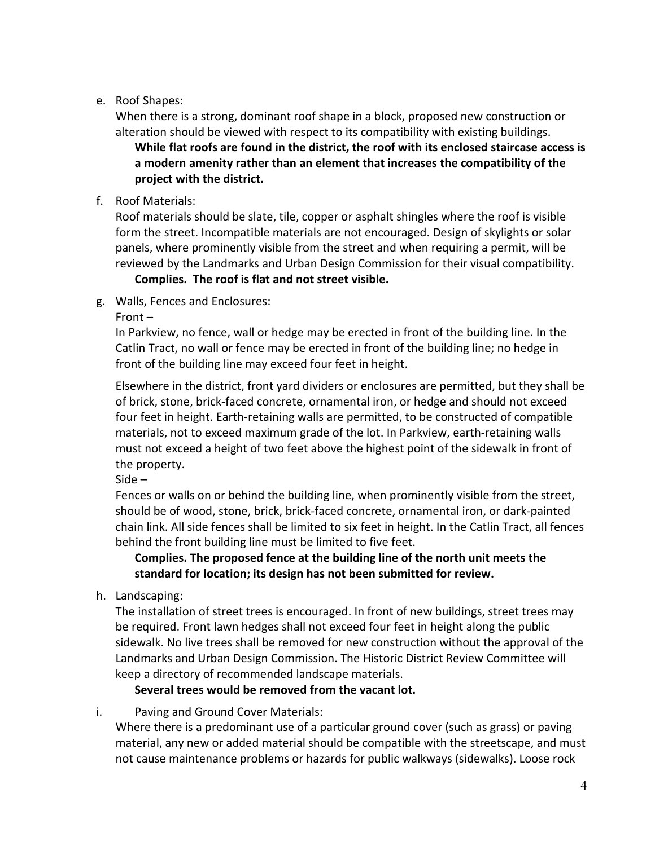# e. Roof Shapes:

When there is a strong, dominant roof shape in a block, proposed new construction or alteration should be viewed with respect to its compatibility with existing buildings. **While flat roofs are found in the district, the roof with its enclosed staircase access is a modern amenity rather than an element that increases the compatibility of the project with the district.** 

f. Roof Materials:

Roof materials should be slate, tile, copper or asphalt shingles where the roof is visible form the street. Incompatible materials are not encouraged. Design of skylights or solar panels, where prominently visible from the street and when requiring a permit, will be reviewed by the Landmarks and Urban Design Commission for their visual compatibility.

# **Complies. The roof is flat and not street visible.**

- g. Walls, Fences and Enclosures:
	- Front –

In Parkview, no fence, wall or hedge may be erected in front of the building line. In the Catlin Tract, no wall or fence may be erected in front of the building line; no hedge in front of the building line may exceed four feet in height.

Elsewhere in the district, front yard dividers or enclosures are permitted, but they shall be of brick, stone, brick-faced concrete, ornamental iron, or hedge and should not exceed four feet in height. Earth-retaining walls are permitted, to be constructed of compatible materials, not to exceed maximum grade of the lot. In Parkview, earth-retaining walls must not exceed a height of two feet above the highest point of the sidewalk in front of the property.

Side –

Fences or walls on or behind the building line, when prominently visible from the street, should be of wood, stone, brick, brick-faced concrete, ornamental iron, or dark-painted chain link. All side fences shall be limited to six feet in height. In the Catlin Tract, all fences behind the front building line must be limited to five feet.

**Complies. The proposed fence at the building line of the north unit meets the standard for location; its design has not been submitted for review.** 

h. Landscaping:

The installation of street trees is encouraged. In front of new buildings, street trees may be required. Front lawn hedges shall not exceed four feet in height along the public sidewalk. No live trees shall be removed for new construction without the approval of the Landmarks and Urban Design Commission. The Historic District Review Committee will keep a directory of recommended landscape materials.

**Several trees would be removed from the vacant lot.**

i. Paving and Ground Cover Materials:

Where there is a predominant use of a particular ground cover (such as grass) or paving material, any new or added material should be compatible with the streetscape, and must not cause maintenance problems or hazards for public walkways (sidewalks). Loose rock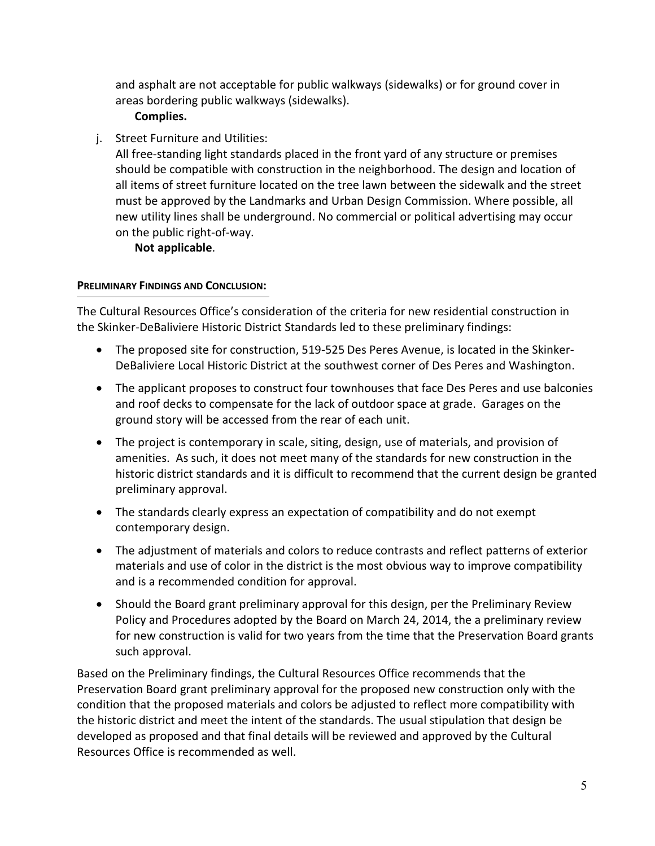and asphalt are not acceptable for public walkways (sidewalks) or for ground cover in areas bordering public walkways (sidewalks).

# **Complies.**

j. Street Furniture and Utilities:

All free-standing light standards placed in the front yard of any structure or premises should be compatible with construction in the neighborhood. The design and location of all items of street furniture located on the tree lawn between the sidewalk and the street must be approved by the Landmarks and Urban Design Commission. Where possible, all new utility lines shall be underground. No commercial or political advertising may occur on the public right-of-way.

**Not applicable**.

# **PRELIMINARY FINDINGS AND CONCLUSION:**

The Cultural Resources Office's consideration of the criteria for new residential construction in the Skinker-DeBaliviere Historic District Standards led to these preliminary findings:

- The proposed site for construction, 519-525 Des Peres Avenue, is located in the Skinker-DeBaliviere Local Historic District at the southwest corner of Des Peres and Washington.
- The applicant proposes to construct four townhouses that face Des Peres and use balconies and roof decks to compensate for the lack of outdoor space at grade. Garages on the ground story will be accessed from the rear of each unit.
- The project is contemporary in scale, siting, design, use of materials, and provision of amenities. As such, it does not meet many of the standards for new construction in the historic district standards and it is difficult to recommend that the current design be granted preliminary approval.
- The standards clearly express an expectation of compatibility and do not exempt contemporary design.
- The adjustment of materials and colors to reduce contrasts and reflect patterns of exterior materials and use of color in the district is the most obvious way to improve compatibility and is a recommended condition for approval.
- Should the Board grant preliminary approval for this design, per the Preliminary Review Policy and Procedures adopted by the Board on March 24, 2014, the a preliminary review for new construction is valid for two years from the time that the Preservation Board grants such approval.

Based on the Preliminary findings, the Cultural Resources Office recommends that the Preservation Board grant preliminary approval for the proposed new construction only with the condition that the proposed materials and colors be adjusted to reflect more compatibility with the historic district and meet the intent of the standards. The usual stipulation that design be developed as proposed and that final details will be reviewed and approved by the Cultural Resources Office is recommended as well.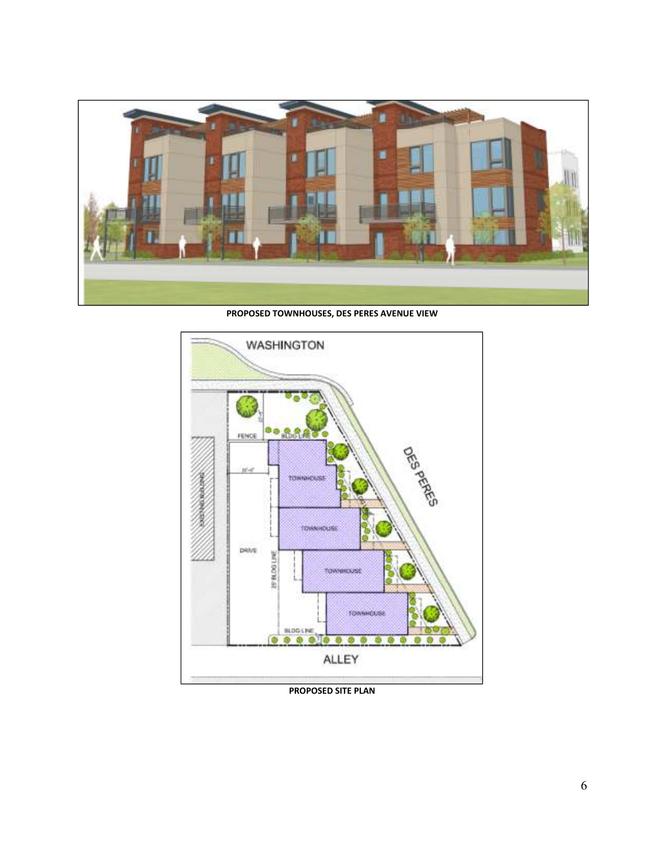

**PROPOSED TOWNHOUSES, DES PERES AVENUE VIEW** 



**PROPOSED SITE PLAN**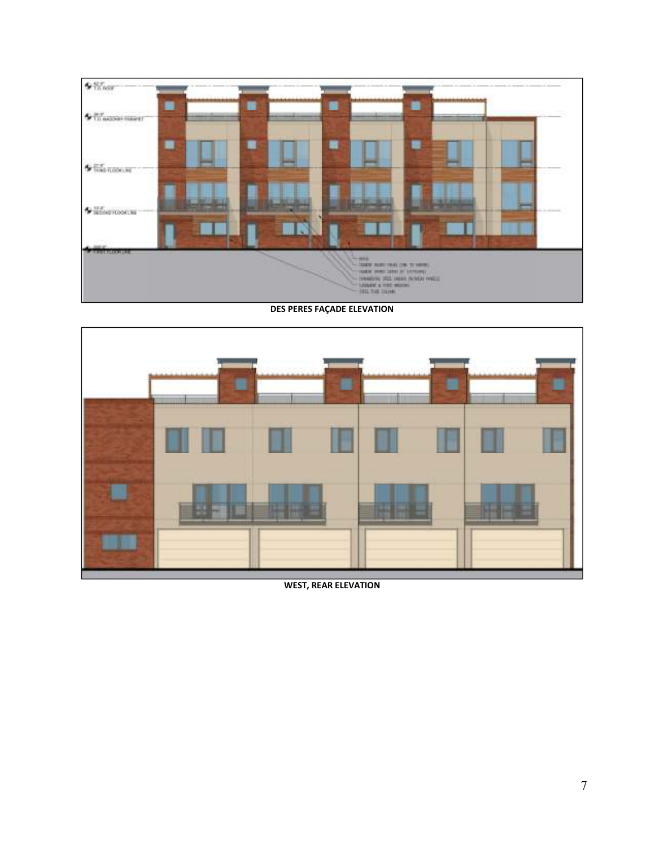

#### **DES PERES FAÇADE ELEVATION**



**WEST, REAR ELEVATION**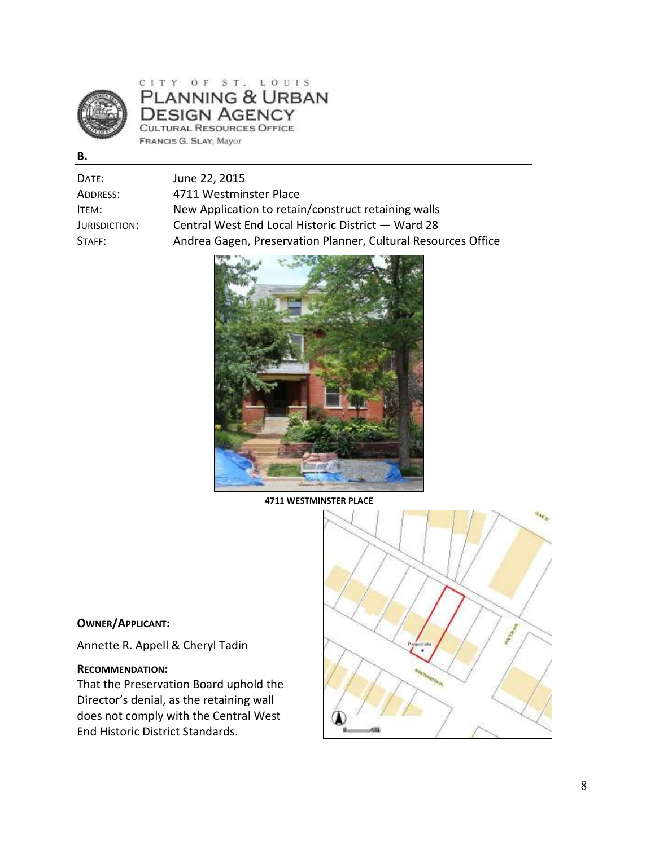

PLANNING & URBAN **DESIGN AGENCY** CULTURAL RESOURCES OFFICE FRANCIS G. SLAY, Mayor

| DATE:         | June 22, 2015                                                 |
|---------------|---------------------------------------------------------------|
| ADDRESS:      | 4711 Westminster Place                                        |
| ITEM:         | New Application to retain/construct retaining walls           |
| JURISDICTION: | Central West End Local Historic District - Ward 28            |
| STAFF:        | Andrea Gagen, Preservation Planner, Cultural Resources Office |



**4711 WESTMINSTER PLACE** 



# **OWNER/APPLICANT:**

Annette R. Appell & Cheryl Tadin

#### **RECOMMENDATION:**

That the Preservation Board uphold the Director's denial, as the retaining wall does not comply with the Central West End Historic District Standards.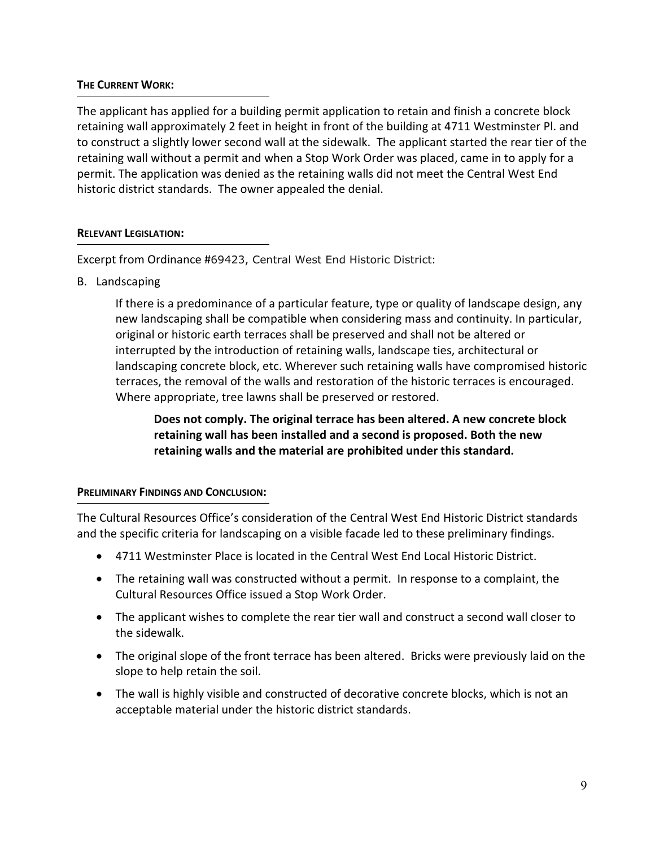### **THE CURRENT WORK:**

The applicant has applied for a building permit application to retain and finish a concrete block retaining wall approximately 2 feet in height in front of the building at 4711 Westminster Pl. and to construct a slightly lower second wall at the sidewalk. The applicant started the rear tier of the retaining wall without a permit and when a Stop Work Order was placed, came in to apply for a permit. The application was denied as the retaining walls did not meet the Central West End historic district standards. The owner appealed the denial.

#### **RELEVANT LEGISLATION:**

Excerpt from Ordinance #69423, Central West End Historic District:

B. Landscaping

If there is a predominance of a particular feature, type or quality of landscape design, any new landscaping shall be compatible when considering mass and continuity. In particular, original or historic earth terraces shall be preserved and shall not be altered or interrupted by the introduction of retaining walls, landscape ties, architectural or landscaping concrete block, etc. Wherever such retaining walls have compromised historic terraces, the removal of the walls and restoration of the historic terraces is encouraged. Where appropriate, tree lawns shall be preserved or restored.

# **Does not comply. The original terrace has been altered. A new concrete block retaining wall has been installed and a second is proposed. Both the new retaining walls and the material are prohibited under this standard.**

### **PRELIMINARY FINDINGS AND CONCLUSION:**

The Cultural Resources Office's consideration of the Central West End Historic District standards and the specific criteria for landscaping on a visible facade led to these preliminary findings.

- 4711 Westminster Place is located in the Central West End Local Historic District.
- The retaining wall was constructed without a permit. In response to a complaint, the Cultural Resources Office issued a Stop Work Order.
- The applicant wishes to complete the rear tier wall and construct a second wall closer to the sidewalk.
- The original slope of the front terrace has been altered. Bricks were previously laid on the slope to help retain the soil.
- The wall is highly visible and constructed of decorative concrete blocks, which is not an acceptable material under the historic district standards.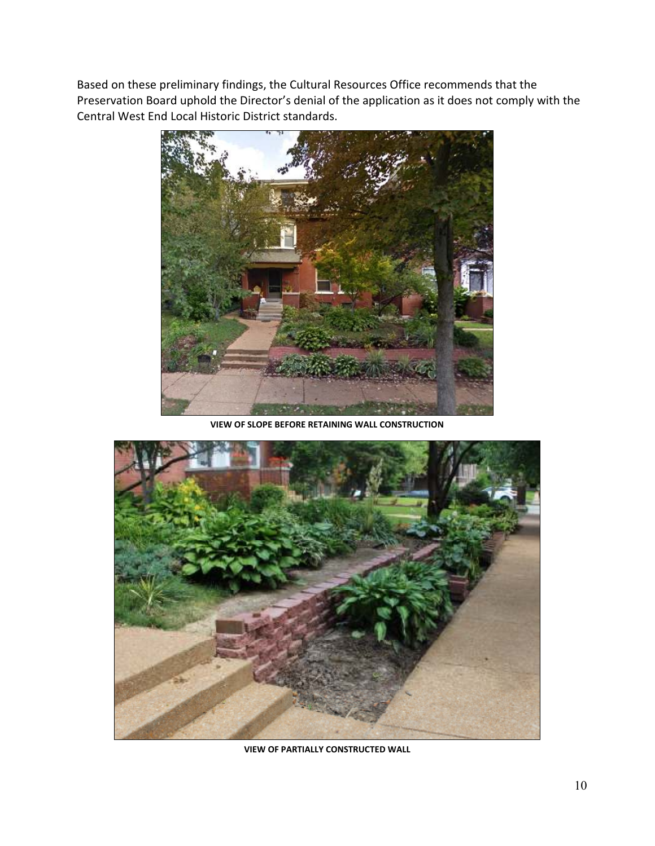Based on these preliminary findings, the Cultural Resources Office recommends that the Preservation Board uphold the Director's denial of the application as it does not comply with the Central West End Local Historic District standards.



**VIEW OF SLOPE BEFORE RETAINING WALL CONSTRUCTION** 



**VIEW OF PARTIALLY CONSTRUCTED WALL**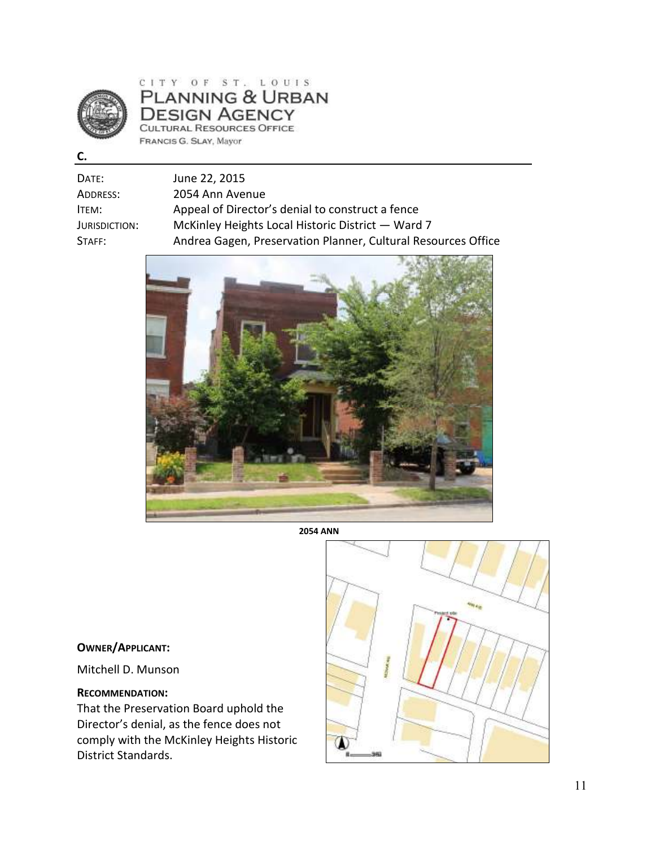

# CITY OF ST. LOUIS<br>PLANNING & URBAN **DESIGN AGENCY** CULTURAL RESOURCES OFFICE FRANCIS G. SLAY, Mayor

| ٠<br>. . |  |
|----------|--|
| ×        |  |

| Date:         | June 22, 2015                                                 |
|---------------|---------------------------------------------------------------|
| Address:      | 2054 Ann Avenue                                               |
| ITEM:         | Appeal of Director's denial to construct a fence              |
| Jurisdiction: | McKinley Heights Local Historic District - Ward 7             |
| Staff:        | Andrea Gagen, Preservation Planner, Cultural Resources Office |
|               |                                                               |



**2054 ANN** 

### **OWNER/APPLICANT:**

Mitchell D. Munson

### **RECOMMENDATION:**

That the Preservation Board uphold the Director's denial, as the fence does not comply with the McKinley Heights Historic District Standards.

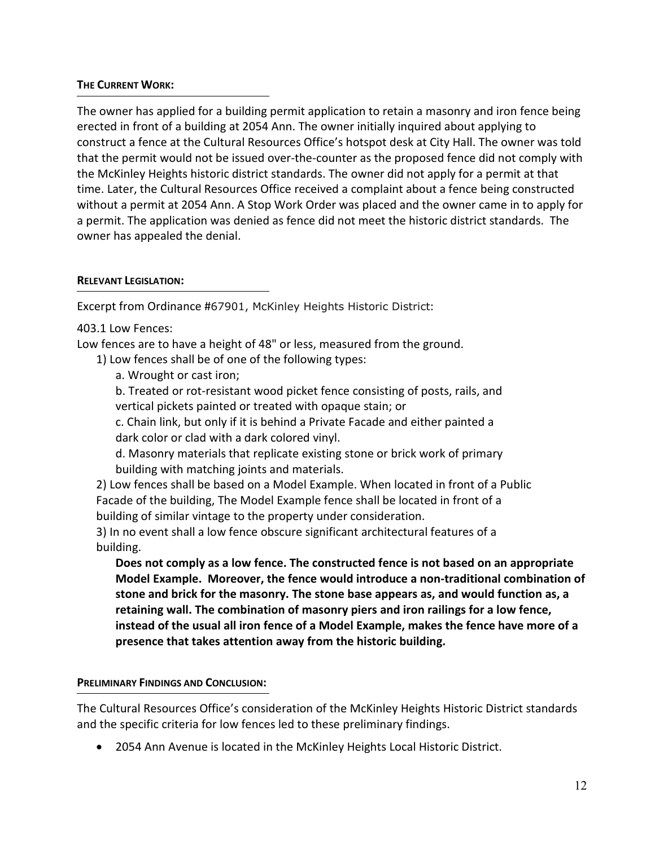### **THE CURRENT WORK:**

The owner has applied for a building permit application to retain a masonry and iron fence being erected in front of a building at 2054 Ann. The owner initially inquired about applying to construct a fence at the Cultural Resources Office's hotspot desk at City Hall. The owner was told that the permit would not be issued over-the-counter as the proposed fence did not comply with the McKinley Heights historic district standards. The owner did not apply for a permit at that time. Later, the Cultural Resources Office received a complaint about a fence being constructed without a permit at 2054 Ann. A Stop Work Order was placed and the owner came in to apply for a permit. The application was denied as fence did not meet the historic district standards. The owner has appealed the denial.

## **RELEVANT LEGISLATION:**

Excerpt from Ordinance #67901, McKinley Heights Historic District:

# 403.1 Low Fences:

Low fences are to have a height of 48" or less, measured from the ground.

1) Low fences shall be of one of the following types:

a. Wrought or cast iron;

b. Treated or rot-resistant wood picket fence consisting of posts, rails, and vertical pickets painted or treated with opaque stain; or

c. Chain link, but only if it is behind a Private Facade and either painted a dark color or clad with a dark colored vinyl.

d. Masonry materials that replicate existing stone or brick work of primary building with matching joints and materials.

2) Low fences shall be based on a Model Example. When located in front of a Public Facade of the building, The Model Example fence shall be located in front of a building of similar vintage to the property under consideration.

3) In no event shall a low fence obscure significant architectural features of a building.

**Does not comply as a low fence. The constructed fence is not based on an appropriate Model Example. Moreover, the fence would introduce a non-traditional combination of stone and brick for the masonry. The stone base appears as, and would function as, a retaining wall. The combination of masonry piers and iron railings for a low fence, instead of the usual all iron fence of a Model Example, makes the fence have more of a presence that takes attention away from the historic building.** 

# **PRELIMINARY FINDINGS AND CONCLUSION:**

The Cultural Resources Office's consideration of the McKinley Heights Historic District standards and the specific criteria for low fences led to these preliminary findings.

• 2054 Ann Avenue is located in the McKinley Heights Local Historic District.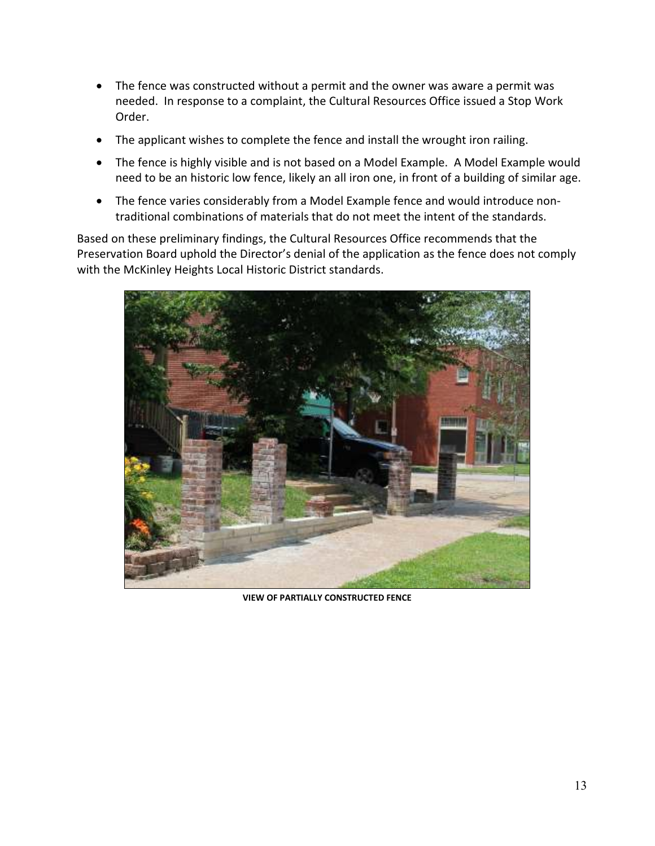- The fence was constructed without a permit and the owner was aware a permit was needed. In response to a complaint, the Cultural Resources Office issued a Stop Work Order.
- The applicant wishes to complete the fence and install the wrought iron railing.
- The fence is highly visible and is not based on a Model Example. A Model Example would need to be an historic low fence, likely an all iron one, in front of a building of similar age.
- The fence varies considerably from a Model Example fence and would introduce nontraditional combinations of materials that do not meet the intent of the standards.

Based on these preliminary findings, the Cultural Resources Office recommends that the Preservation Board uphold the Director's denial of the application as the fence does not comply with the McKinley Heights Local Historic District standards.



**VIEW OF PARTIALLY CONSTRUCTED FENCE**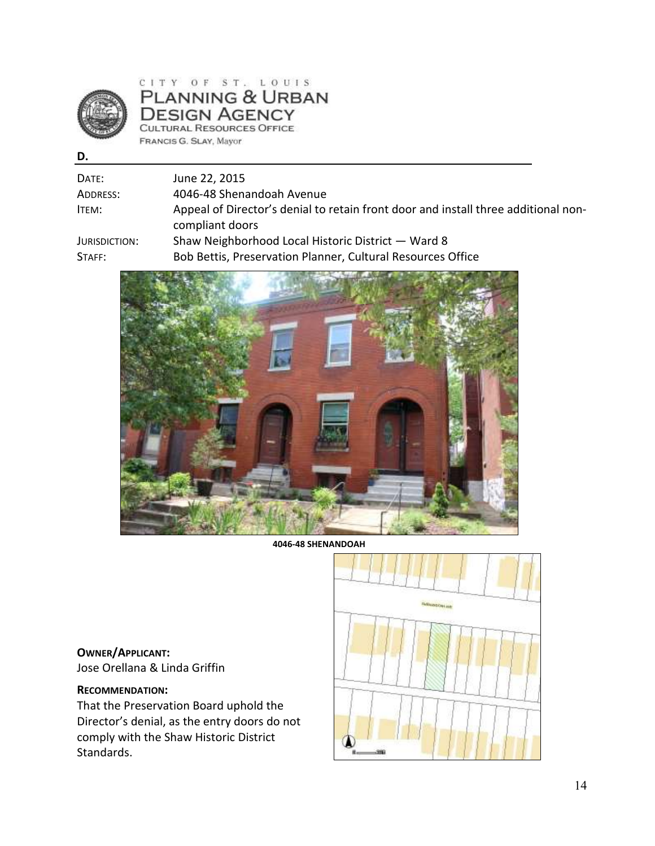

CITY OF ST. LOUIS<br>PLANNING & URBAN **DESIGN AGENCY** CULTURAL RESOURCES OFFICE FRANCIS G. SLAY, Mayor

| ×<br>I<br>۰, |
|--------------|
|--------------|

| Date:         | June 22, 2015                                                                      |
|---------------|------------------------------------------------------------------------------------|
| Address:      | 4046-48 Shenandoah Avenue                                                          |
| ITEM:         | Appeal of Director's denial to retain front door and install three additional non- |
|               | compliant doors                                                                    |
| Jurisdiction: | Shaw Neighborhood Local Historic District - Ward 8                                 |
| STATE:        | Bob Bettis, Preservation Planner, Cultural Resources Office                        |
|               |                                                                                    |



**4046-48 SHENANDOAH** 

**OWNER/APPLICANT:**  Jose Orellana & Linda Griffin

### **RECOMMENDATION:**

That the Preservation Board uphold the Director's denial, as the entry doors do not comply with the Shaw Historic District Standards.

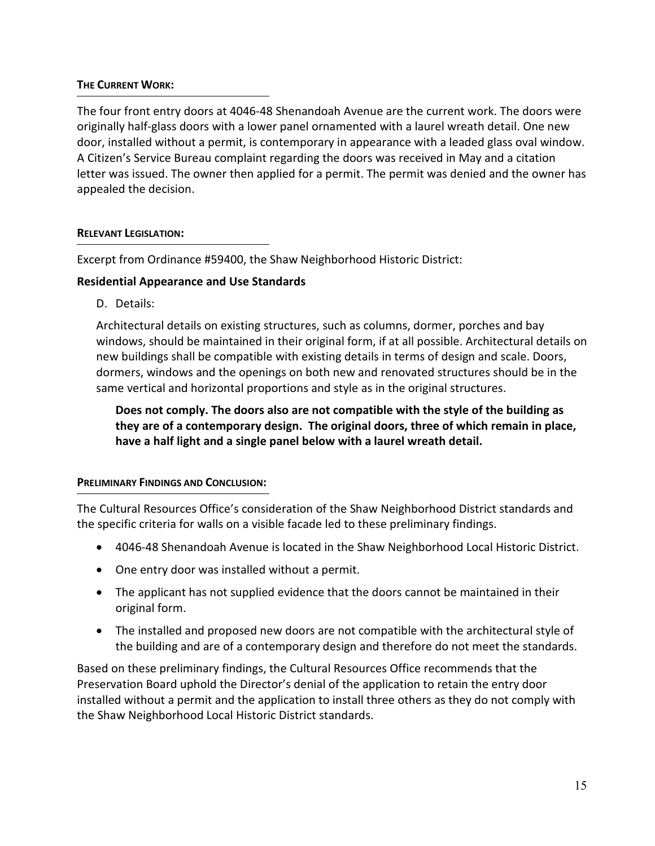### **THE CURRENT WORK:**

The four front entry doors at 4046-48 Shenandoah Avenue are the current work. The doors were originally half-glass doors with a lower panel ornamented with a laurel wreath detail. One new door, installed without a permit, is contemporary in appearance with a leaded glass oval window. A Citizen's Service Bureau complaint regarding the doors was received in May and a citation letter was issued. The owner then applied for a permit. The permit was denied and the owner has appealed the decision.

### **RELEVANT LEGISLATION:**

Excerpt from Ordinance #59400, the Shaw Neighborhood Historic District:

# **Residential Appearance and Use Standards**

D. Details:

Architectural details on existing structures, such as columns, dormer, porches and bay windows, should be maintained in their original form, if at all possible. Architectural details on new buildings shall be compatible with existing details in terms of design and scale. Doors, dormers, windows and the openings on both new and renovated structures should be in the same vertical and horizontal proportions and style as in the original structures.

**Does not comply. The doors also are not compatible with the style of the building as they are of a contemporary design. The original doors, three of which remain in place, have a half light and a single panel below with a laurel wreath detail.** 

# **PRELIMINARY FINDINGS AND CONCLUSION:**

The Cultural Resources Office's consideration of the Shaw Neighborhood District standards and the specific criteria for walls on a visible facade led to these preliminary findings.

- 4046-48 Shenandoah Avenue is located in the Shaw Neighborhood Local Historic District.
- One entry door was installed without a permit.
- The applicant has not supplied evidence that the doors cannot be maintained in their original form.
- The installed and proposed new doors are not compatible with the architectural style of the building and are of a contemporary design and therefore do not meet the standards.

Based on these preliminary findings, the Cultural Resources Office recommends that the Preservation Board uphold the Director's denial of the application to retain the entry door installed without a permit and the application to install three others as they do not comply with the Shaw Neighborhood Local Historic District standards.